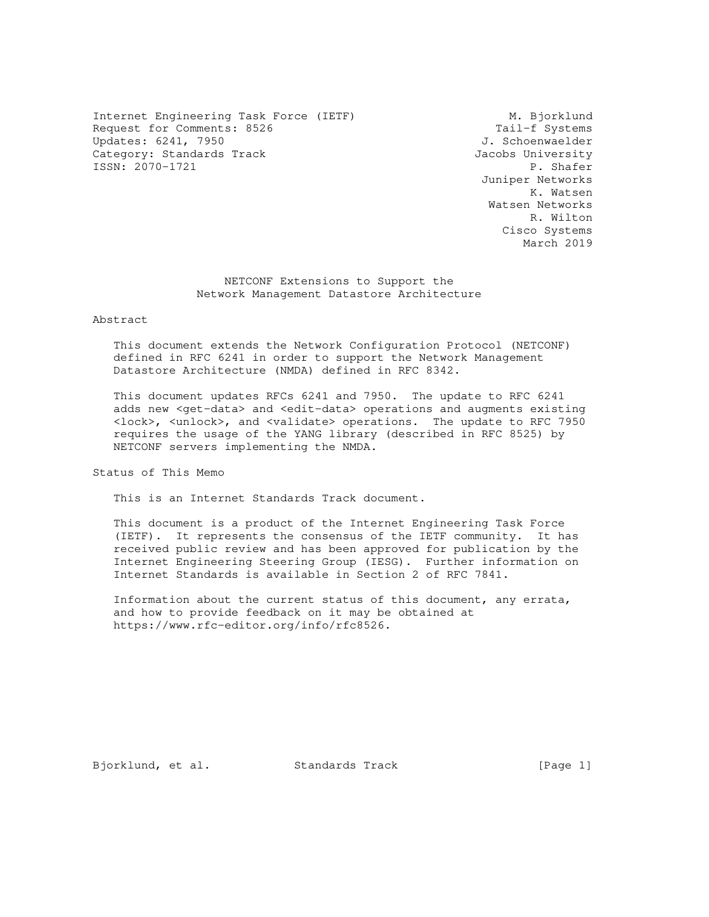Internet Engineering Task Force (IETF) M. Bjorklund Request for Comments: 8526 Tail-f Systems Updates: 6241, 7950 J. Schoenwaelder Category: Standards Track Jacobs University ISSN: 2070-1721 P. Shafer

 Juniper Networks K. Watsen Watsen Networks R. Wilton Cisco Systems March 2019

## NETCONF Extensions to Support the Network Management Datastore Architecture

## Abstract

 This document extends the Network Configuration Protocol (NETCONF) defined in RFC 6241 in order to support the Network Management Datastore Architecture (NMDA) defined in RFC 8342.

 This document updates RFCs 6241 and 7950. The update to RFC 6241 adds new <qet-data> and <edit-data> operations and augments existing <lock>, <unlock>, and <validate> operations. The update to RFC 7950 requires the usage of the YANG library (described in RFC 8525) by NETCONF servers implementing the NMDA.

Status of This Memo

This is an Internet Standards Track document.

 This document is a product of the Internet Engineering Task Force (IETF). It represents the consensus of the IETF community. It has received public review and has been approved for publication by the Internet Engineering Steering Group (IESG). Further information on Internet Standards is available in Section 2 of RFC 7841.

 Information about the current status of this document, any errata, and how to provide feedback on it may be obtained at https://www.rfc-editor.org/info/rfc8526.

Bjorklund, et al. Standards Track [Page 1]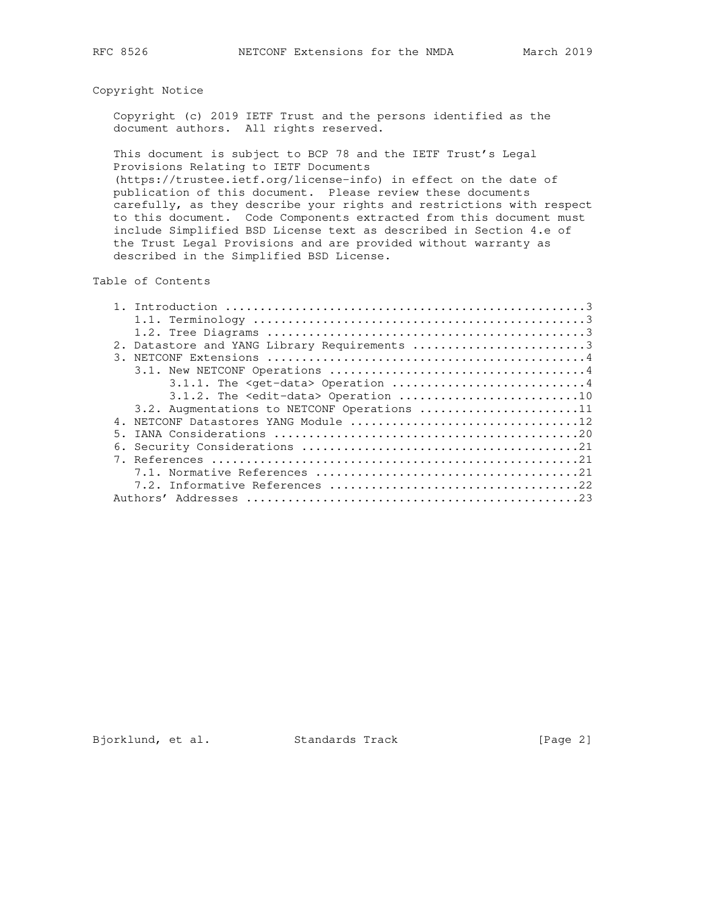# Copyright Notice

 Copyright (c) 2019 IETF Trust and the persons identified as the document authors. All rights reserved.

 This document is subject to BCP 78 and the IETF Trust's Legal Provisions Relating to IETF Documents

 (https://trustee.ietf.org/license-info) in effect on the date of publication of this document. Please review these documents carefully, as they describe your rights and restrictions with respect to this document. Code Components extracted from this document must include Simplified BSD License text as described in Section 4.e of the Trust Legal Provisions and are provided without warranty as described in the Simplified BSD License.

Table of Contents

|               | 2. Datastore and YANG Library Requirements 3 |
|---------------|----------------------------------------------|
| $\mathcal{R}$ |                                              |
|               |                                              |
|               | 3.1.1. The <get-data> Operation 4</get-data> |
|               |                                              |
|               | 3.2. Augmentations to NETCONF Operations 11  |
|               | NETCONF Datastores YANG Module 12            |
| 5.            |                                              |
|               |                                              |
|               |                                              |
|               |                                              |
|               |                                              |
|               |                                              |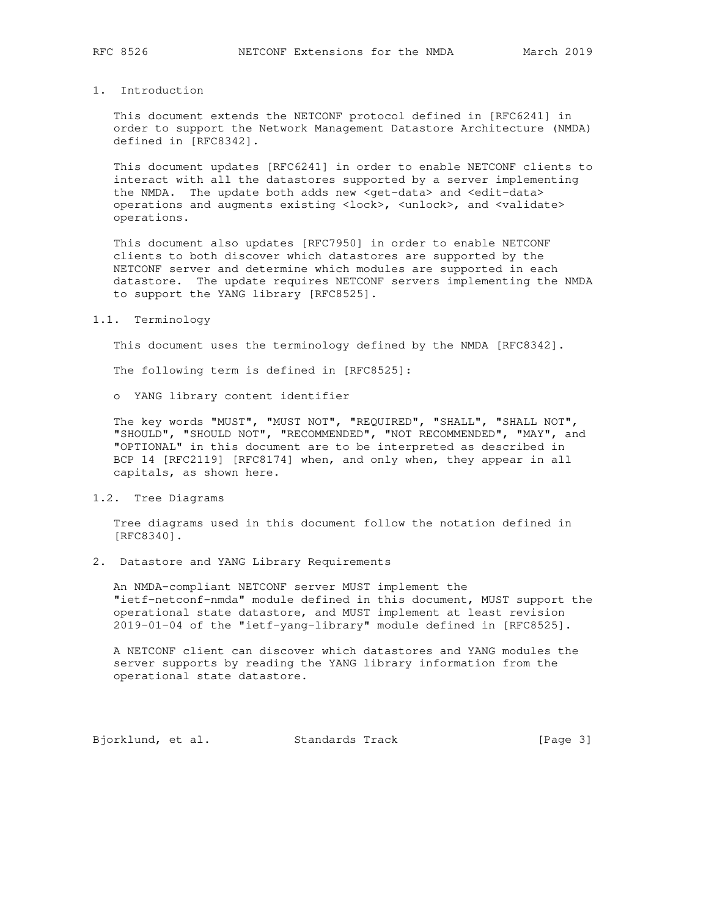## 1. Introduction

 This document extends the NETCONF protocol defined in [RFC6241] in order to support the Network Management Datastore Architecture (NMDA) defined in [RFC8342].

 This document updates [RFC6241] in order to enable NETCONF clients to interact with all the datastores supported by a server implementing the NMDA. The update both adds new <qet-data> and <edit-data> operations and augments existing <lock>, <unlock>, and <validate> operations.

 This document also updates [RFC7950] in order to enable NETCONF clients to both discover which datastores are supported by the NETCONF server and determine which modules are supported in each datastore. The update requires NETCONF servers implementing the NMDA to support the YANG library [RFC8525].

#### 1.1. Terminology

This document uses the terminology defined by the NMDA [RFC8342].

The following term is defined in [RFC8525]:

o YANG library content identifier

 The key words "MUST", "MUST NOT", "REQUIRED", "SHALL", "SHALL NOT", "SHOULD", "SHOULD NOT", "RECOMMENDED", "NOT RECOMMENDED", "MAY", and "OPTIONAL" in this document are to be interpreted as described in BCP 14 [RFC2119] [RFC8174] when, and only when, they appear in all capitals, as shown here.

## 1.2. Tree Diagrams

 Tree diagrams used in this document follow the notation defined in [RFC8340].

2. Datastore and YANG Library Requirements

 An NMDA-compliant NETCONF server MUST implement the "ietf-netconf-nmda" module defined in this document, MUST support the operational state datastore, and MUST implement at least revision 2019-01-04 of the "ietf-yang-library" module defined in [RFC8525].

 A NETCONF client can discover which datastores and YANG modules the server supports by reading the YANG library information from the operational state datastore.

Bjorklund, et al. Standards Track [Page 3]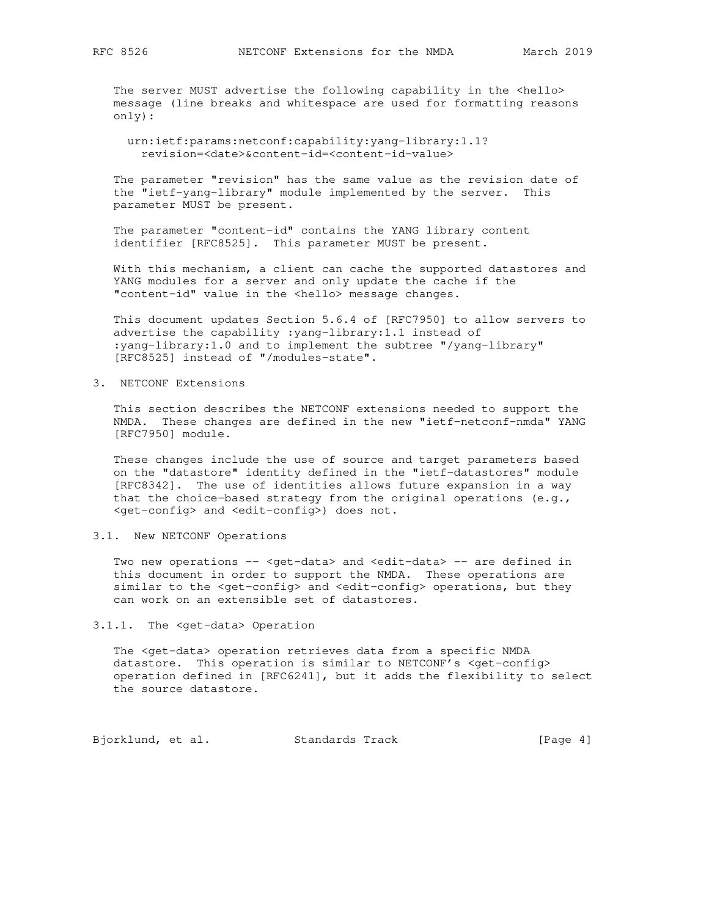The server MUST advertise the following capability in the <hello> message (line breaks and whitespace are used for formatting reasons only):

 urn:ietf:params:netconf:capability:yang-library:1.1? revision=<date>&content-id=<content-id-value>

 The parameter "revision" has the same value as the revision date of the "ietf-yang-library" module implemented by the server. This parameter MUST be present.

 The parameter "content-id" contains the YANG library content identifier [RFC8525]. This parameter MUST be present.

 With this mechanism, a client can cache the supported datastores and YANG modules for a server and only update the cache if the "content-id" value in the <hello> message changes.

 This document updates Section 5.6.4 of [RFC7950] to allow servers to advertise the capability :yang-library:1.1 instead of :yang-library:1.0 and to implement the subtree "/yang-library" [RFC8525] instead of "/modules-state".

3. NETCONF Extensions

 This section describes the NETCONF extensions needed to support the NMDA. These changes are defined in the new "ietf-netconf-nmda" YANG [RFC7950] module.

 These changes include the use of source and target parameters based on the "datastore" identity defined in the "ietf-datastores" module [RFC8342]. The use of identities allows future expansion in a way that the choice-based strategy from the original operations (e.g., <get-config> and <edit-config>) does not.

## 3.1. New NETCONF Operations

 Two new operations -- <get-data> and <edit-data> -- are defined in this document in order to support the NMDA. These operations are similar to the <get-config> and <edit-config> operations, but they can work on an extensible set of datastores.

# 3.1.1. The <get-data> Operation

 The <get-data> operation retrieves data from a specific NMDA datastore. This operation is similar to NETCONF's <get-config> operation defined in [RFC6241], but it adds the flexibility to select the source datastore.

Bjorklund, et al. Standards Track [Page 4]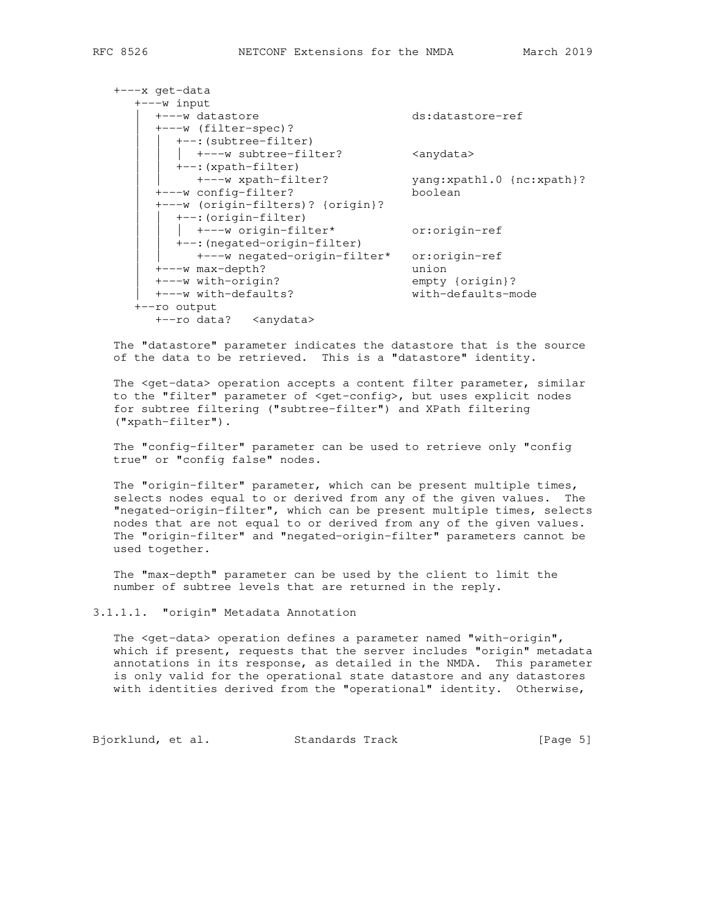```
 +---x get-data
     +---w input
       | +---w datastore ds:datastore-ref
      +---w (filter-spec)?
       | +--: (subtree-filter)
         | | | +---w subtree-filter? <anydata>
       +--: (xpath-filter)
          | | +---w xpath-filter? yang:xpath1.0 {nc:xpath}?
       | +---w config-filter? boolean
       | +---w (origin-filters)? {origin}?
        | | +--:(origin-filter)
 | | | +---w origin-filter* or:origin-ref
 | | +--:(negated-origin-filter)
 | | +---w negated-origin-filter* or:origin-ref
 | +---w max-depth? union
 | +---w with-origin? empty {origin}?
 | +---w with-defaults? with-defaults-mode
     +--ro output
       +--ro data? <anydata>
```
 The "datastore" parameter indicates the datastore that is the source of the data to be retrieved. This is a "datastore" identity.

 The <get-data> operation accepts a content filter parameter, similar to the "filter" parameter of <get-config>, but uses explicit nodes for subtree filtering ("subtree-filter") and XPath filtering ("xpath-filter").

 The "config-filter" parameter can be used to retrieve only "config true" or "config false" nodes.

 The "origin-filter" parameter, which can be present multiple times, selects nodes equal to or derived from any of the given values. The "negated-origin-filter", which can be present multiple times, selects nodes that are not equal to or derived from any of the given values. The "origin-filter" and "negated-origin-filter" parameters cannot be used together.

 The "max-depth" parameter can be used by the client to limit the number of subtree levels that are returned in the reply.

3.1.1.1. "origin" Metadata Annotation

 The <get-data> operation defines a parameter named "with-origin", which if present, requests that the server includes "origin" metadata annotations in its response, as detailed in the NMDA. This parameter is only valid for the operational state datastore and any datastores with identities derived from the "operational" identity. Otherwise,

Bjorklund, et al. Standards Track [Page 5]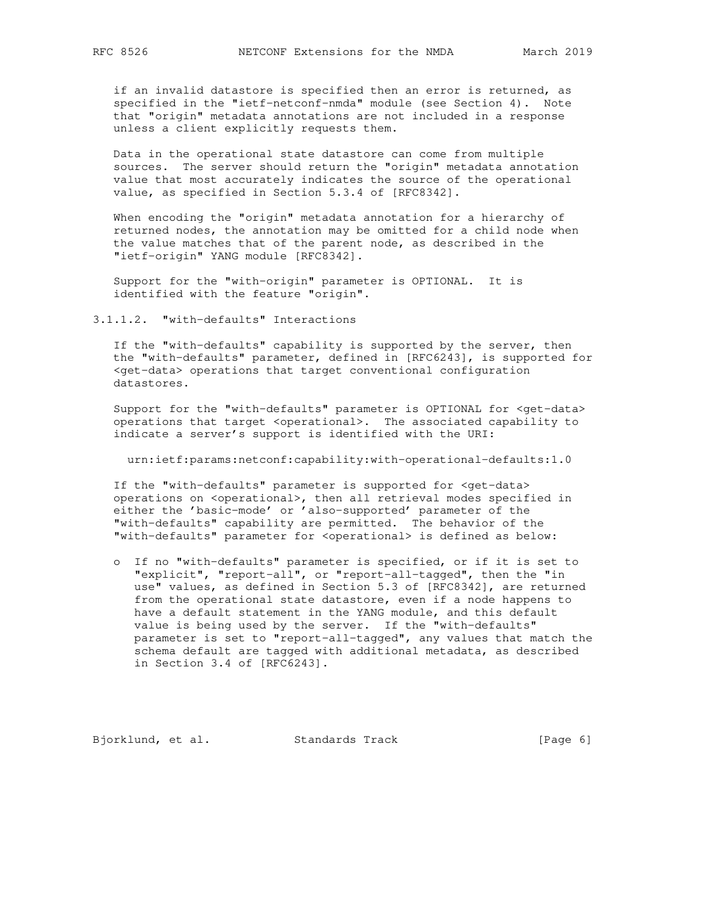if an invalid datastore is specified then an error is returned, as specified in the "ietf-netconf-nmda" module (see Section 4). Note that "origin" metadata annotations are not included in a response unless a client explicitly requests them.

 Data in the operational state datastore can come from multiple sources. The server should return the "origin" metadata annotation value that most accurately indicates the source of the operational value, as specified in Section 5.3.4 of [RFC8342].

 When encoding the "origin" metadata annotation for a hierarchy of returned nodes, the annotation may be omitted for a child node when the value matches that of the parent node, as described in the "ietf-origin" YANG module [RFC8342].

 Support for the "with-origin" parameter is OPTIONAL. It is identified with the feature "origin".

3.1.1.2. "with-defaults" Interactions

 If the "with-defaults" capability is supported by the server, then the "with-defaults" parameter, defined in [RFC6243], is supported for <get-data> operations that target conventional configuration datastores.

 Support for the "with-defaults" parameter is OPTIONAL for <get-data> operations that target <operational>. The associated capability to indicate a server's support is identified with the URI:

urn:ietf:params:netconf:capability:with-operational-defaults:1.0

 If the "with-defaults" parameter is supported for <get-data> operations on <operational>, then all retrieval modes specified in either the 'basic-mode' or 'also-supported' parameter of the "with-defaults" capability are permitted. The behavior of the "with-defaults" parameter for <operational> is defined as below:

 o If no "with-defaults" parameter is specified, or if it is set to "explicit", "report-all", or "report-all-tagged", then the "in use" values, as defined in Section 5.3 of [RFC8342], are returned from the operational state datastore, even if a node happens to have a default statement in the YANG module, and this default value is being used by the server. If the "with-defaults" parameter is set to "report-all-tagged", any values that match the schema default are tagged with additional metadata, as described in Section 3.4 of [RFC6243].

Bjorklund, et al. Standards Track [Page 6]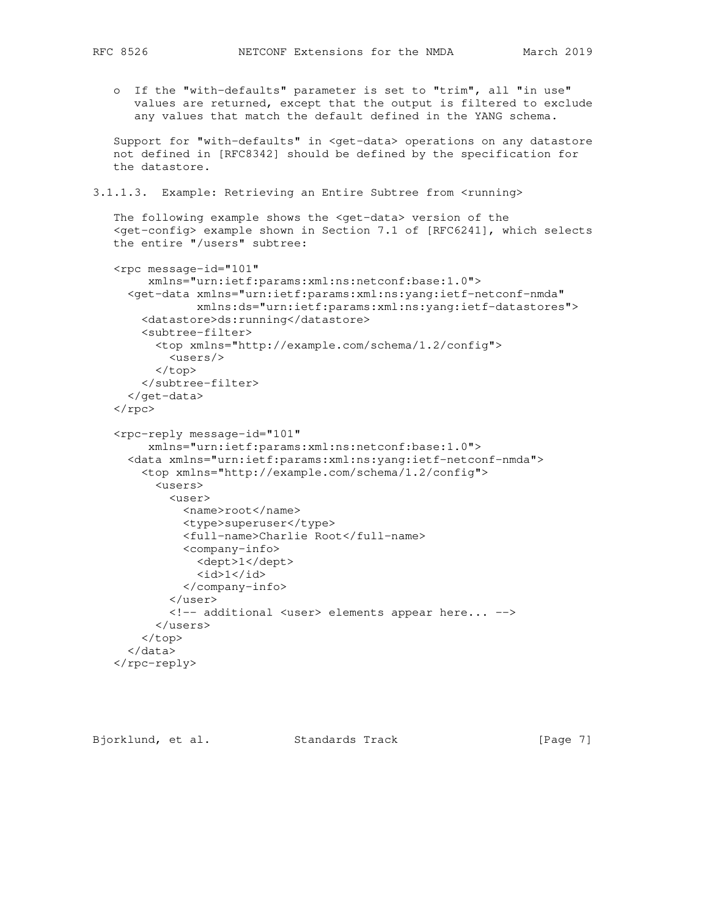o If the "with-defaults" parameter is set to "trim", all "in use" values are returned, except that the output is filtered to exclude any values that match the default defined in the YANG schema.

 Support for "with-defaults" in <get-data> operations on any datastore not defined in [RFC8342] should be defined by the specification for the datastore.

3.1.1.3. Example: Retrieving an Entire Subtree from <running>

 The following example shows the <get-data> version of the <get-config> example shown in Section 7.1 of [RFC6241], which selects the entire "/users" subtree:

```
 <rpc message-id="101"
      xmlns="urn:ietf:params:xml:ns:netconf:base:1.0">
   <get-data xmlns="urn:ietf:params:xml:ns:yang:ietf-netconf-nmda"
             xmlns:ds="urn:ietf:params:xml:ns:yang:ietf-datastores">
     <datastore>ds:running</datastore>
     <subtree-filter>
       <top xmlns="http://example.com/schema/1.2/config">
         <users/>
       </top>
     </subtree-filter>
   </get-data>
\langle rpc>
 <rpc-reply message-id="101"
      xmlns="urn:ietf:params:xml:ns:netconf:base:1.0">
   <data xmlns="urn:ietf:params:xml:ns:yang:ietf-netconf-nmda">
     <top xmlns="http://example.com/schema/1.2/config">
       <users>
         <user>
           <name>root</name>
           <type>superuser</type>
           <full-name>Charlie Root</full-name>
           <company-info>
             <dept>1</dept>
            <id>1</id>
           </company-info>
         </user>
         <!-- additional <user> elements appear here... -->
       </users>
     </top>
   </data>
</rpc-reply>
```
Bjorklund, et al. Standards Track [Page 7]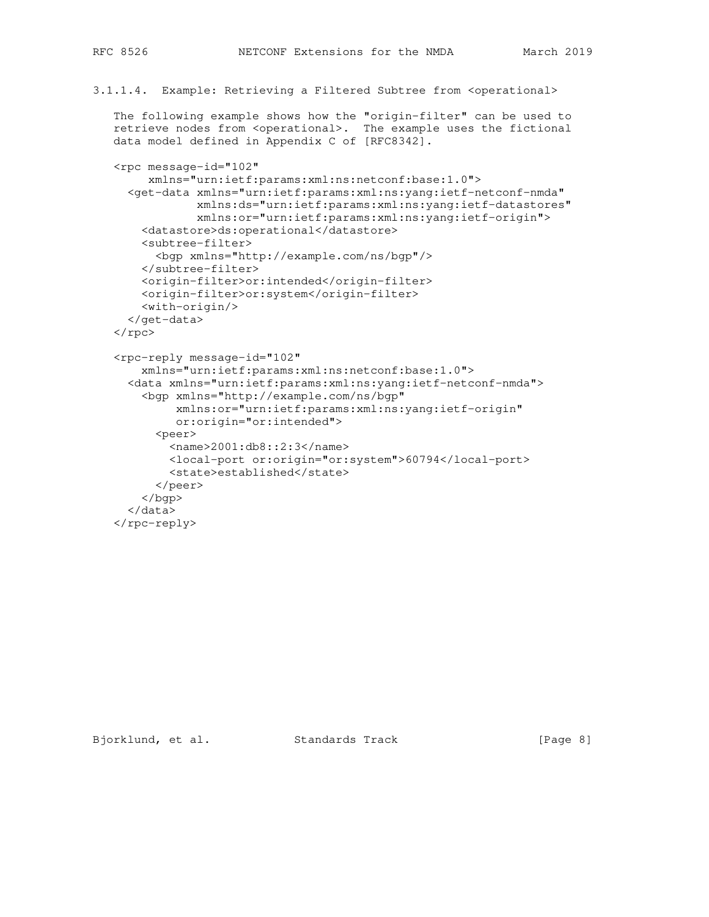```
3.1.1.4. Example: Retrieving a Filtered Subtree from <operational>
```
 The following example shows how the "origin-filter" can be used to retrieve nodes from <operational>. The example uses the fictional data model defined in Appendix C of [RFC8342].

```
 <rpc message-id="102"
      xmlns="urn:ietf:params:xml:ns:netconf:base:1.0">
   <get-data xmlns="urn:ietf:params:xml:ns:yang:ietf-netconf-nmda"
             xmlns:ds="urn:ietf:params:xml:ns:yang:ietf-datastores"
             xmlns:or="urn:ietf:params:xml:ns:yang:ietf-origin">
     <datastore>ds:operational</datastore>
     <subtree-filter>
      <bgp xmlns="http://example.com/ns/bgp"/>
     </subtree-filter>
     <origin-filter>or:intended</origin-filter>
     <origin-filter>or:system</origin-filter>
     <with-origin/>
   </get-data>
\langle rpc>
 <rpc-reply message-id="102"
     xmlns="urn:ietf:params:xml:ns:netconf:base:1.0">
   <data xmlns="urn:ietf:params:xml:ns:yang:ietf-netconf-nmda">
     <bgp xmlns="http://example.com/ns/bgp"
          xmlns:or="urn:ietf:params:xml:ns:yang:ietf-origin"
          or:origin="or:intended">
       <peer>
         <name>2001:db8::2:3</name>
         <local-port or:origin="or:system">60794</local-port>
        <state>established</state>
       </peer>
     </bgp>
   </data>
 </rpc-reply>
```
Bjorklund, et al. Standards Track [Page 8]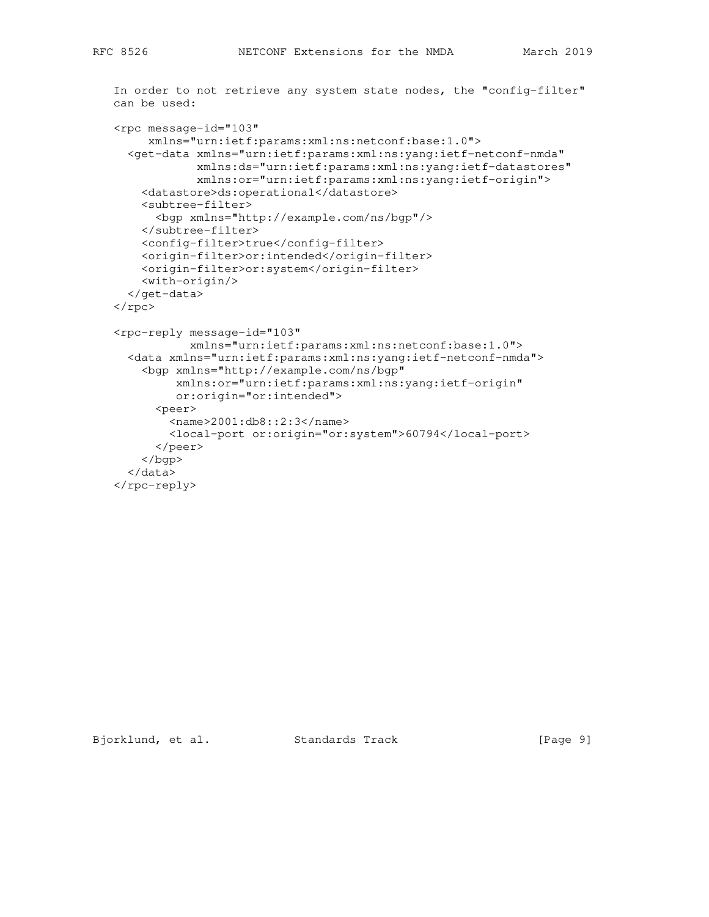```
 In order to not retrieve any system state nodes, the "config-filter"
 can be used:
 <rpc message-id="103"
      xmlns="urn:ietf:params:xml:ns:netconf:base:1.0">
   <get-data xmlns="urn:ietf:params:xml:ns:yang:ietf-netconf-nmda"
             xmlns:ds="urn:ietf:params:xml:ns:yang:ietf-datastores"
             xmlns:or="urn:ietf:params:xml:ns:yang:ietf-origin">
     <datastore>ds:operational</datastore>
     <subtree-filter>
       <bgp xmlns="http://example.com/ns/bgp"/>
     </subtree-filter>
     <config-filter>true</config-filter>
     <origin-filter>or:intended</origin-filter>
     <origin-filter>or:system</origin-filter>
     <with-origin/>
   </get-data>
\langle /rpc>
 <rpc-reply message-id="103"
            xmlns="urn:ietf:params:xml:ns:netconf:base:1.0">
   <data xmlns="urn:ietf:params:xml:ns:yang:ietf-netconf-nmda">
     <bgp xmlns="http://example.com/ns/bgp"
          xmlns:or="urn:ietf:params:xml:ns:yang:ietf-origin"
          or:origin="or:intended">
       <peer>
         <name>2001:db8::2:3</name>
         <local-port or:origin="or:system">60794</local-port>
       </peer>
     </bgp>
   </data>
```

```
\langle/rpc-reply>
```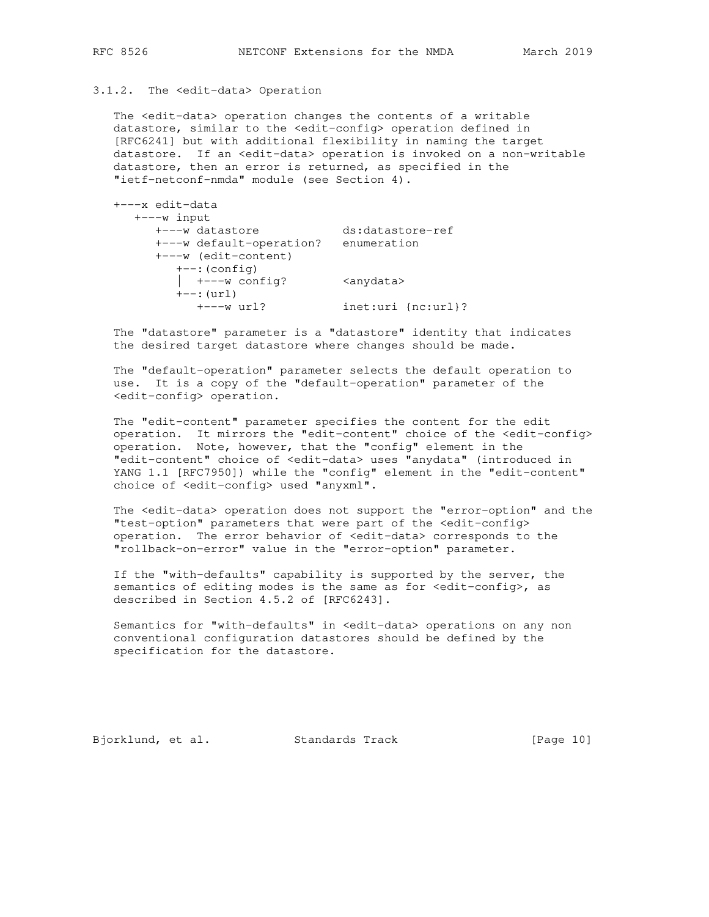#### 3.1.2. The <edit-data> Operation

 The <edit-data> operation changes the contents of a writable datastore, similar to the <edit-config> operation defined in [RFC6241] but with additional flexibility in naming the target datastore. If an <edit-data> operation is invoked on a non-writable datastore, then an error is returned, as specified in the "ietf-netconf-nmda" module (see Section 4).

| +---x edit-data<br>$+---w$ input            |                                 |
|---------------------------------------------|---------------------------------|
| +---w datastore<br>+---w default-operation? | ds:datastore-ref<br>enumeration |
| +---w (edit-content)<br>$+--$ : (config)    |                                 |
| $\vert$ +---w config?<br>$+--$ : (url)      | <anydata></anydata>             |
| $+---w$ $\ln$ ?                             | inet:uri {nc:url}?              |

 The "datastore" parameter is a "datastore" identity that indicates the desired target datastore where changes should be made.

 The "default-operation" parameter selects the default operation to use. It is a copy of the "default-operation" parameter of the <edit-config> operation.

 The "edit-content" parameter specifies the content for the edit operation. It mirrors the "edit-content" choice of the <edit-config> operation. Note, however, that the "config" element in the "edit-content" choice of <edit-data> uses "anydata" (introduced in YANG 1.1 [RFC7950]) while the "config" element in the "edit-content" choice of <edit-config> used "anyxml".

 The <edit-data> operation does not support the "error-option" and the "test-option" parameters that were part of the <edit-config> operation. The error behavior of <edit-data> corresponds to the "rollback-on-error" value in the "error-option" parameter.

 If the "with-defaults" capability is supported by the server, the semantics of editing modes is the same as for <edit-config>, as described in Section 4.5.2 of [RFC6243].

Semantics for "with-defaults" in <edit-data> operations on any non conventional configuration datastores should be defined by the specification for the datastore.

Bjorklund, et al. Standards Track [Page 10]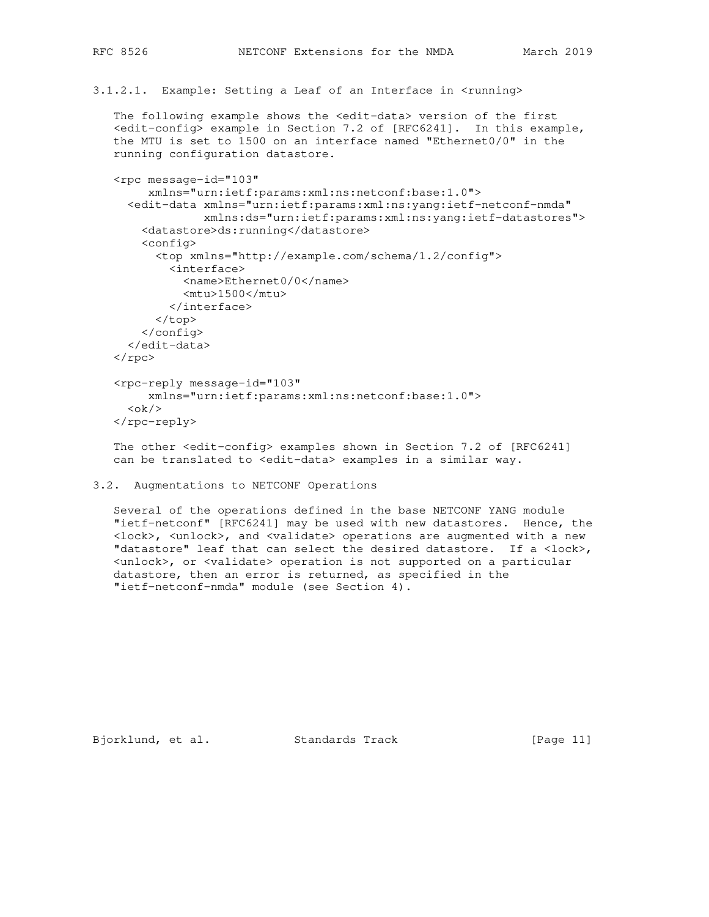3.1.2.1. Example: Setting a Leaf of an Interface in <running>

The following example shows the <edit-data> version of the first <edit-config> example in Section 7.2 of [RFC6241]. In this example, the MTU is set to 1500 on an interface named "Ethernet0/0" in the running configuration datastore.

```
 <rpc message-id="103"
      xmlns="urn:ietf:params:xml:ns:netconf:base:1.0">
   <edit-data xmlns="urn:ietf:params:xml:ns:yang:ietf-netconf-nmda"
              xmlns:ds="urn:ietf:params:xml:ns:yang:ietf-datastores">
     <datastore>ds:running</datastore>
     <config>
       <top xmlns="http://example.com/schema/1.2/config">
         <interface>
            <name>Ethernet0/0</name>
            <mtu>1500</mtu>
         </interface>
       </top>
     </config>
   </edit-data>
\langle / rpc <rpc-reply message-id="103"
      xmlns="urn:ietf:params:xml:ns:netconf:base:1.0">
  \langle \text{ok}/\rangle\langle/rpc-reply>
```
 The other <edit-config> examples shown in Section 7.2 of [RFC6241] can be translated to <edit-data> examples in a similar way.

```
3.2. Augmentations to NETCONF Operations
```
 Several of the operations defined in the base NETCONF YANG module "ietf-netconf" [RFC6241] may be used with new datastores. Hence, the <lock>, <unlock>, and <validate> operations are augmented with a new "datastore" leaf that can select the desired datastore. If a <lock>, <unlock>, or <validate> operation is not supported on a particular datastore, then an error is returned, as specified in the "ietf-netconf-nmda" module (see Section 4).

Bjorklund, et al. Standards Track [Page 11]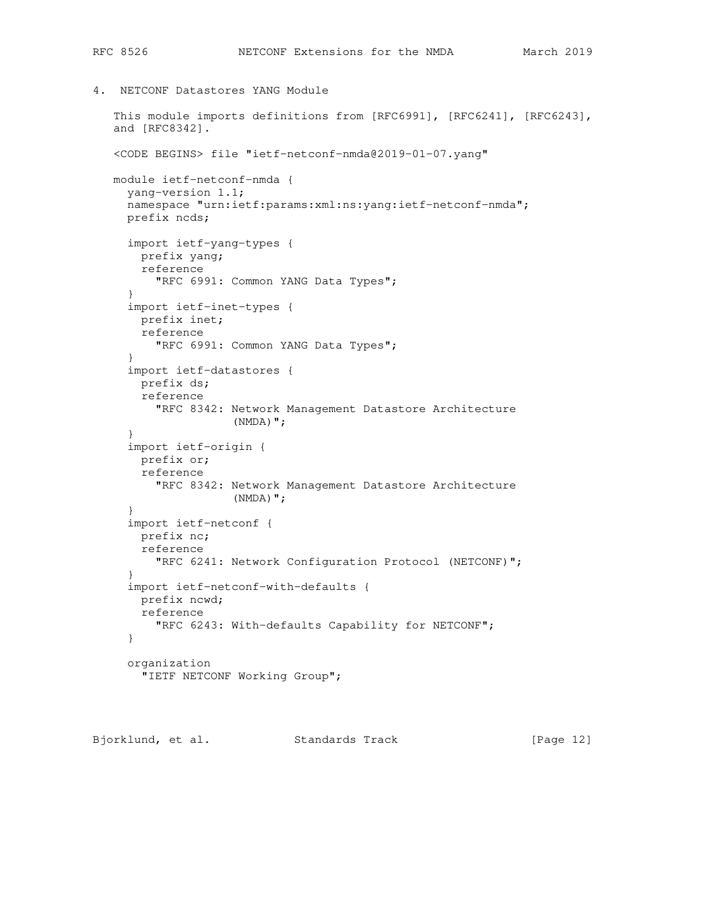4. NETCONF Datastores YANG Module

```
 This module imports definitions from [RFC6991], [RFC6241], [RFC6243],
   and [RFC8342].
   <CODE BEGINS> file "ietf-netconf-nmda@2019-01-07.yang"
   module ietf-netconf-nmda {
     yang-version 1.1;
     namespace "urn:ietf:params:xml:ns:yang:ietf-netconf-nmda";
     prefix ncds;
      import ietf-yang-types {
       prefix yang;
       reference
          "RFC 6991: Common YANG Data Types";
 }
      import ietf-inet-types {
       prefix inet;
       reference
         "RFC 6991: Common YANG Data Types";
      }
      import ietf-datastores {
       prefix ds;
       reference
          "RFC 8342: Network Management Datastore Architecture
                     (NMDA) ", }
      import ietf-origin {
       prefix or;
       reference
          "RFC 8342: Network Management Datastore Architecture
                    (NMDA)";
      }
      import ietf-netconf {
       prefix nc;
       reference
         "RFC 6241: Network Configuration Protocol (NETCONF)";
      }
      import ietf-netconf-with-defaults {
       prefix ncwd;
       reference
          "RFC 6243: With-defaults Capability for NETCONF";
      }
      organization
        "IETF NETCONF Working Group";
```
Bjorklund, et al. Standards Track [Page 12]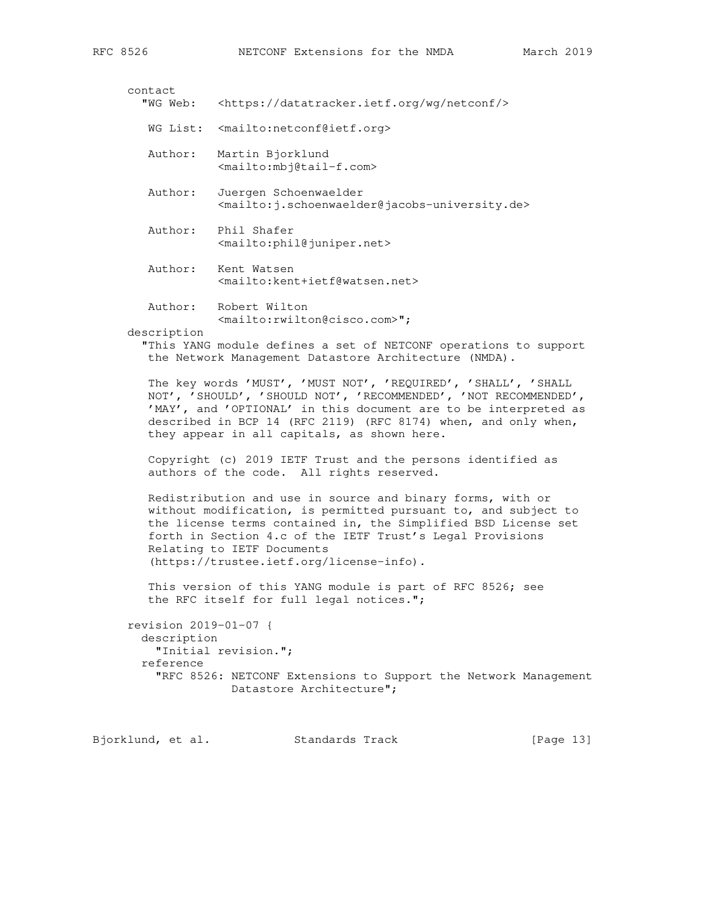| contact<br>"WG Web: | <https: datatracker.ietf.org="" netconf="" wg=""></https:>                                                                                                                                                                                                                                                           |
|---------------------|----------------------------------------------------------------------------------------------------------------------------------------------------------------------------------------------------------------------------------------------------------------------------------------------------------------------|
|                     | WG List: <mailto:netconf@ietf.org></mailto:netconf@ietf.org>                                                                                                                                                                                                                                                         |
| Author:             | Martin Bjorklund<br><mailto:mbi@tail-f.com></mailto:mbi@tail-f.com>                                                                                                                                                                                                                                                  |
| Author:             | Juergen Schoenwaelder<br><mailto:j.schoenwaelder@jacobs-university.de></mailto:j.schoenwaelder@jacobs-university.de>                                                                                                                                                                                                 |
| Author:             | Phil Shafer<br><mailto:phil@juniper.net></mailto:phil@juniper.net>                                                                                                                                                                                                                                                   |
| Author:             | Kent Watsen<br><mailto: kent+ietf@watsen.net=""></mailto:>                                                                                                                                                                                                                                                           |
| Author:             | Robert Wilton<br><mailto:rwilton@cisco.com>";</mailto:rwilton@cisco.com>                                                                                                                                                                                                                                             |
| description         | "This YANG module defines a set of NETCONF operations to support<br>the Network Management Datastore Architecture (NMDA).                                                                                                                                                                                            |
|                     | The key words 'MUST', 'MUST NOT', 'REQUIRED', 'SHALL', 'SHALL<br>NOT', 'SHOULD', 'SHOULD NOT', 'RECOMMENDED', 'NOT RECOMMENDED',<br>'MAY', and 'OPTIONAL' in this document are to be interpreted as<br>described in BCP 14 (RFC 2119) (RFC 8174) when, and only when,<br>they appear in all capitals, as shown here. |
|                     | Copyright (c) 2019 IETF Trust and the persons identified as<br>authors of the code. All rights reserved.                                                                                                                                                                                                             |

 Redistribution and use in source and binary forms, with or without modification, is permitted pursuant to, and subject to the license terms contained in, the Simplified BSD License set forth in Section 4.c of the IETF Trust's Legal Provisions Relating to IETF Documents (https://trustee.ietf.org/license-info).

 This version of this YANG module is part of RFC 8526; see the RFC itself for full legal notices.";

 revision 2019-01-07 { description "Initial revision."; reference "RFC 8526: NETCONF Extensions to Support the Network Management Datastore Architecture";

Bjorklund, et al. Standards Track [Page 13]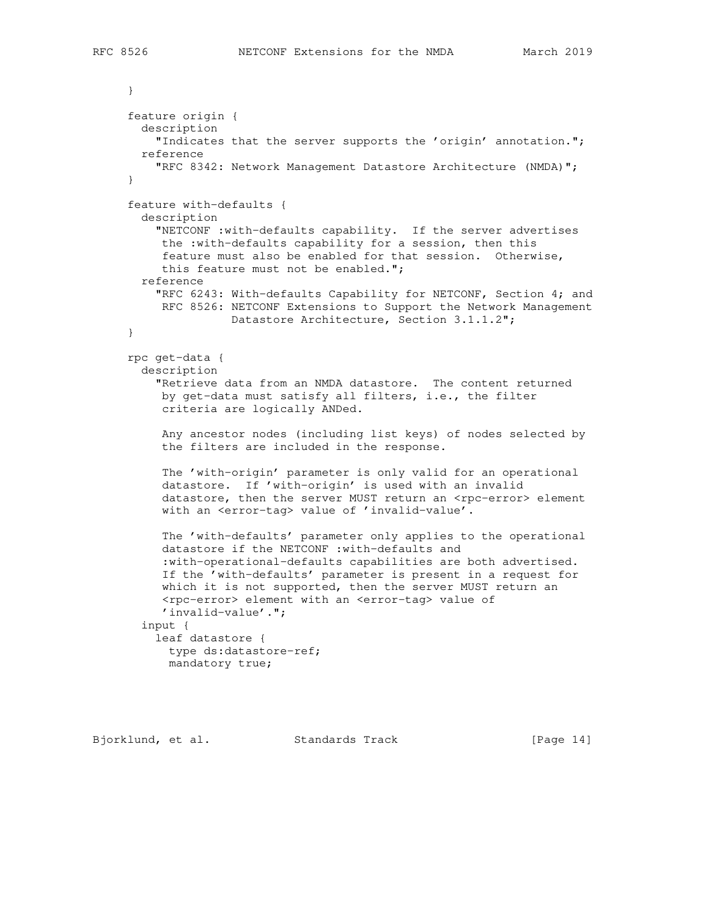```
 }
 feature origin {
  description
     "Indicates that the server supports the 'origin' annotation.";
  reference
     "RFC 8342: Network Management Datastore Architecture (NMDA)";
 }
 feature with-defaults {
  description
     "NETCONF :with-defaults capability. If the server advertises
     the :with-defaults capability for a session, then this
      feature must also be enabled for that session. Otherwise,
      this feature must not be enabled.";
  reference
     "RFC 6243: With-defaults Capability for NETCONF, Section 4; and
     RFC 8526: NETCONF Extensions to Support the Network Management
               Datastore Architecture, Section 3.1.1.2";
 }
 rpc get-data {
  description
     "Retrieve data from an NMDA datastore. The content returned
     by get-data must satisfy all filters, i.e., the filter
     criteria are logically ANDed.
      Any ancestor nodes (including list keys) of nodes selected by
      the filters are included in the response.
      The 'with-origin' parameter is only valid for an operational
      datastore. If 'with-origin' is used with an invalid
     datastore, then the server MUST return an <rpc-error> element
      with an <error-tag> value of 'invalid-value'.
      The 'with-defaults' parameter only applies to the operational
      datastore if the NETCONF :with-defaults and
      :with-operational-defaults capabilities are both advertised.
      If the 'with-defaults' parameter is present in a request for
      which it is not supported, then the server MUST return an
      <rpc-error> element with an <error-tag> value of
      'invalid-value'.";
   input {
     leaf datastore {
      type ds:datastore-ref;
      mandatory true;
```
Bjorklund, et al. Standards Track [Page 14]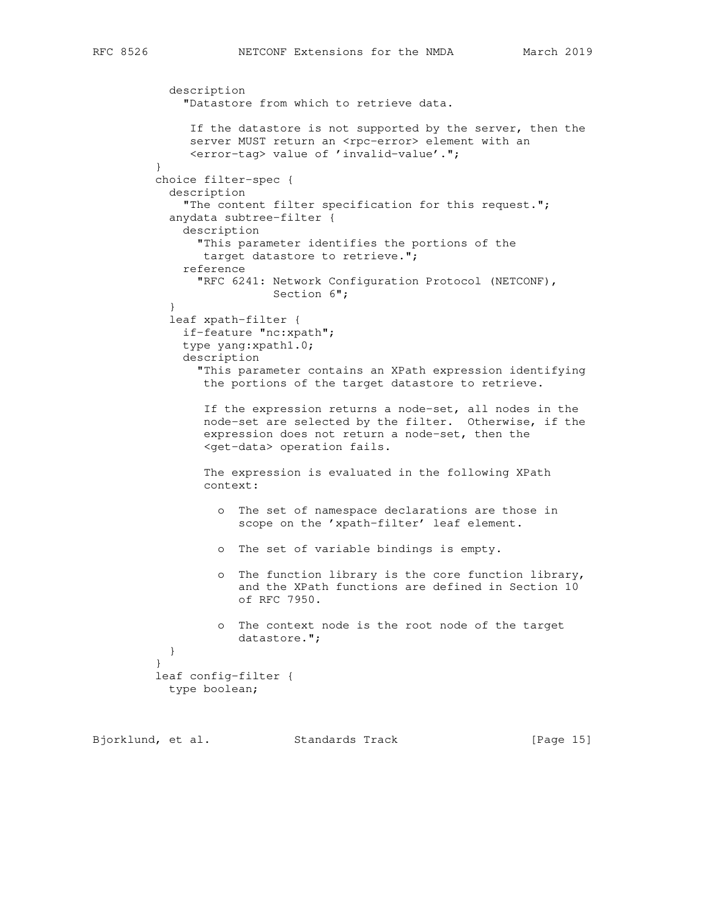```
 description
              "Datastore from which to retrieve data.
              If the datastore is not supported by the server, then the
             server MUST return an <rpc-error> element with an
              <error-tag> value of 'invalid-value'.";
 }
         choice filter-spec {
           description
              "The content filter specification for this request.";
           anydata subtree-filter {
             description
               "This parameter identifies the portions of the
                target datastore to retrieve.";
             reference
               "RFC 6241: Network Configuration Protocol (NETCONF),
                         Section 6";
 }
            leaf xpath-filter {
             if-feature "nc:xpath";
             type yang:xpath1.0;
             description
                "This parameter contains an XPath expression identifying
                the portions of the target datastore to retrieve.
                 If the expression returns a node-set, all nodes in the
                 node-set are selected by the filter. Otherwise, if the
                 expression does not return a node-set, then the
                 <get-data> operation fails.
                 The expression is evaluated in the following XPath
                 context:
                   o The set of namespace declarations are those in
                      scope on the 'xpath-filter' leaf element.
                   o The set of variable bindings is empty.
                   o The function library is the core function library,
                      and the XPath functions are defined in Section 10
                      of RFC 7950.
                   o The context node is the root node of the target
                     datastore.";
           }
 }
         leaf config-filter {
           type boolean;
```
Bjorklund, et al. Standards Track [Page 15]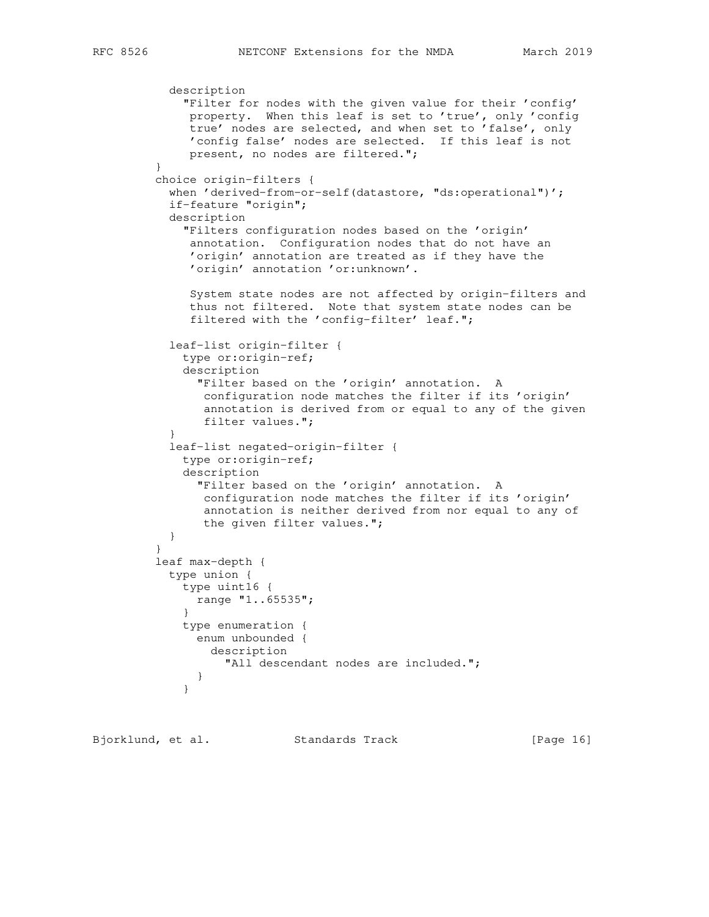```
 description
             "Filter for nodes with the given value for their 'config'
              property. When this leaf is set to 'true', only 'config
              true' nodes are selected, and when set to 'false', only
              'config false' nodes are selected. If this leaf is not
              present, no nodes are filtered.";
 }
         choice origin-filters {
          when 'derived-from-or-self(datastore, "ds:operational")';
           if-feature "origin";
           description
             "Filters configuration nodes based on the 'origin'
              annotation. Configuration nodes that do not have an
 'origin' annotation are treated as if they have the
 'origin' annotation 'or:unknown'.
              System state nodes are not affected by origin-filters and
              thus not filtered. Note that system state nodes can be
              filtered with the 'config-filter' leaf.";
           leaf-list origin-filter {
             type or:origin-ref;
             description
               "Filter based on the 'origin' annotation. A
                configuration node matches the filter if its 'origin'
                annotation is derived from or equal to any of the given
                filter values.";
 }
           leaf-list negated-origin-filter {
             type or:origin-ref;
             description
               "Filter based on the 'origin' annotation. A
               configuration node matches the filter if its 'origin'
                annotation is neither derived from nor equal to any of
                the given filter values.";
 }
 }
         leaf max-depth {
           type union {
            type uint16 {
              range "1..65535";
 }
             type enumeration {
              enum unbounded {
                description
                   "All descendant nodes are included.";
 }
 }
```
Bjorklund, et al. Standards Track [Page 16]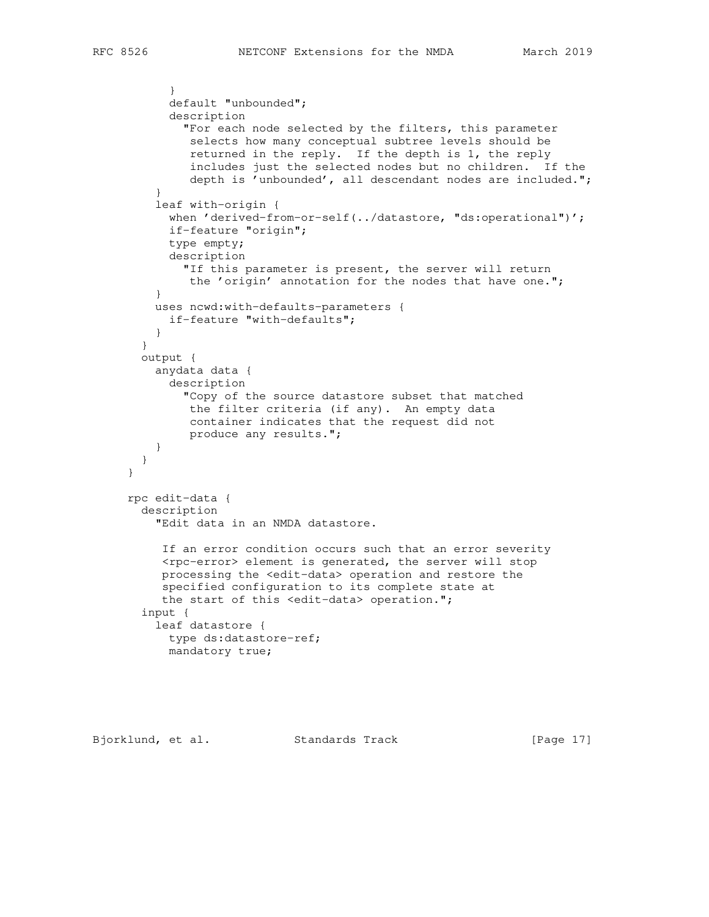```
 }
           default "unbounded";
           description
              "For each node selected by the filters, this parameter
              selects how many conceptual subtree levels should be
              returned in the reply. If the depth is 1, the reply
              includes just the selected nodes but no children. If the
              depth is 'unbounded', all descendant nodes are included.";
 }
         leaf with-origin {
           when 'derived-from-or-self(../datastore, "ds:operational")';
           if-feature "origin";
           type empty;
           description
             "If this parameter is present, the server will return
              the 'origin' annotation for the nodes that have one.";
 }
         uses ncwd:with-defaults-parameters {
           if-feature "with-defaults";
         }
       }
       output {
         anydata data {
           description
              "Copy of the source datastore subset that matched
              the filter criteria (if any). An empty data
              container indicates that the request did not
              produce any results.";
 }
       }
     }
     rpc edit-data {
       description
          "Edit data in an NMDA datastore.
          If an error condition occurs such that an error severity
          <rpc-error> element is generated, the server will stop
          processing the <edit-data> operation and restore the
          specified configuration to its complete state at
         the start of this <edit-data> operation.";
       input {
         leaf datastore {
           type ds:datastore-ref;
           mandatory true;
```
Bjorklund, et al. Standards Track [Page 17]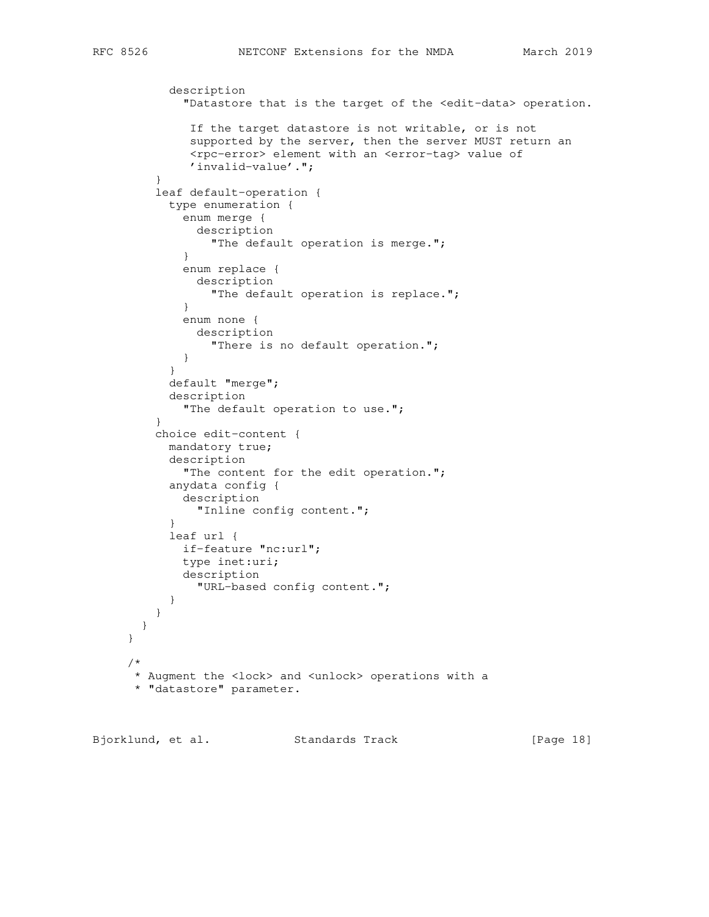```
 description
             "Datastore that is the target of the <edit-data> operation.
              If the target datastore is not writable, or is not
              supported by the server, then the server MUST return an
              <rpc-error> element with an <error-tag> value of
              'invalid-value'.";
 }
         leaf default-operation {
           type enumeration {
             enum merge {
               description
                 "The default operation is merge.";
 }
             enum replace {
               description
                 "The default operation is replace.";
 }
             enum none {
               description
                 "There is no default operation.";
             }
 }
           default "merge";
           description
             "The default operation to use.";
 }
         choice edit-content {
           mandatory true;
           description
             "The content for the edit operation.";
           anydata config {
             description
               "Inline config content.";
 }
           leaf url {
             if-feature "nc:url";
             type inet:uri;
             description
               "URL-based config content.";
           }
 }
       }
     }
     /*
      * Augment the <lock> and <unlock> operations with a
      * "datastore" parameter.
```
Bjorklund, et al. Standards Track [Page 18]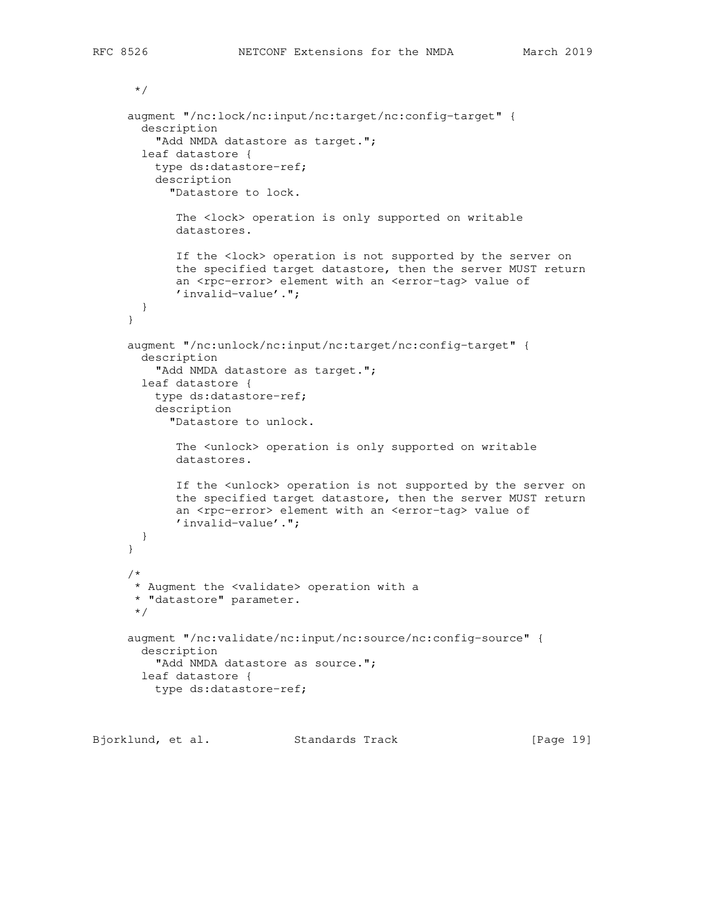```
 */
 augment "/nc:lock/nc:input/nc:target/nc:config-target" {
  description
    "Add NMDA datastore as target.";
  leaf datastore {
    type ds:datastore-ref;
     description
       "Datastore to lock.
        The <lock> operation is only supported on writable
        datastores.
        If the <lock> operation is not supported by the server on
        the specified target datastore, then the server MUST return
       an <rpc-error> element with an <error-tag> value of
        'invalid-value'.";
   }
 }
 augment "/nc:unlock/nc:input/nc:target/nc:config-target" {
   description
     "Add NMDA datastore as target.";
   leaf datastore {
    type ds:datastore-ref;
     description
       "Datastore to unlock.
        The <unlock> operation is only supported on writable
        datastores.
        If the <unlock> operation is not supported by the server on
        the specified target datastore, then the server MUST return
       an <rpc-error> element with an <error-tag> value of
        'invalid-value'.";
   }
 }
 /*
  * Augment the <validate> operation with a
  * "datastore" parameter.
  */
 augment "/nc:validate/nc:input/nc:source/nc:config-source" {
  description
     "Add NMDA datastore as source.";
  leaf datastore {
    type ds:datastore-ref;
```
Bjorklund, et al. Standards Track [Page 19]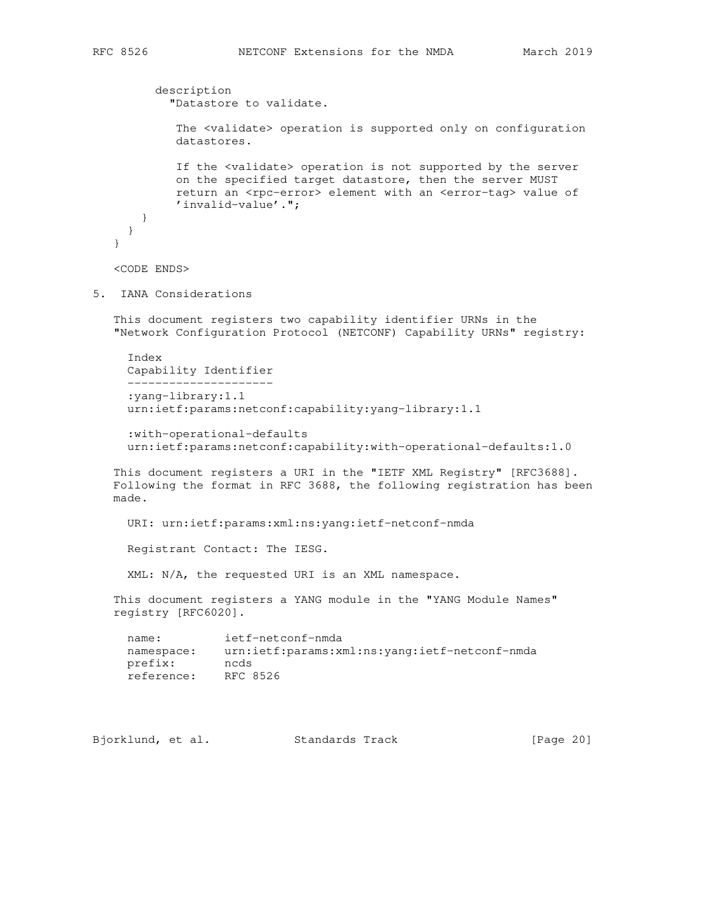```
 description
            "Datastore to validate.
            The <validate> operation is supported only on configuration
            datastores.
            If the <validate> operation is not supported by the server
            on the specified target datastore, then the server MUST
           return an <rpc-error> element with an <error-tag> value of
            'invalid-value'.";
       }
      }
    }
    <CODE ENDS>
5. IANA Considerations
    This document registers two capability identifier URNs in the
    "Network Configuration Protocol (NETCONF) Capability URNs" registry:
     Index
     Capability Identifier
 ---------------------
      :yang-library:1.1
     urn:ietf:params:netconf:capability:yang-library:1.1
      :with-operational-defaults
     urn:ietf:params:netconf:capability:with-operational-defaults:1.0
    This document registers a URI in the "IETF XML Registry" [RFC3688].
   Following the format in RFC 3688, the following registration has been
   made.
     URI: urn:ietf:params:xml:ns:yang:ietf-netconf-nmda
     Registrant Contact: The IESG.
     XML: N/A, the requested URI is an XML namespace.
    This document registers a YANG module in the "YANG Module Names"
   registry [RFC6020].
 name: ietf-netconf-nmda
 namespace: urn:ietf:params:xml:ns:yang:ietf-netconf-nmda
 prefix: ncds
 reference: RFC 8526
```

```
Bjorklund, et al. Standards Track [Page 20]
```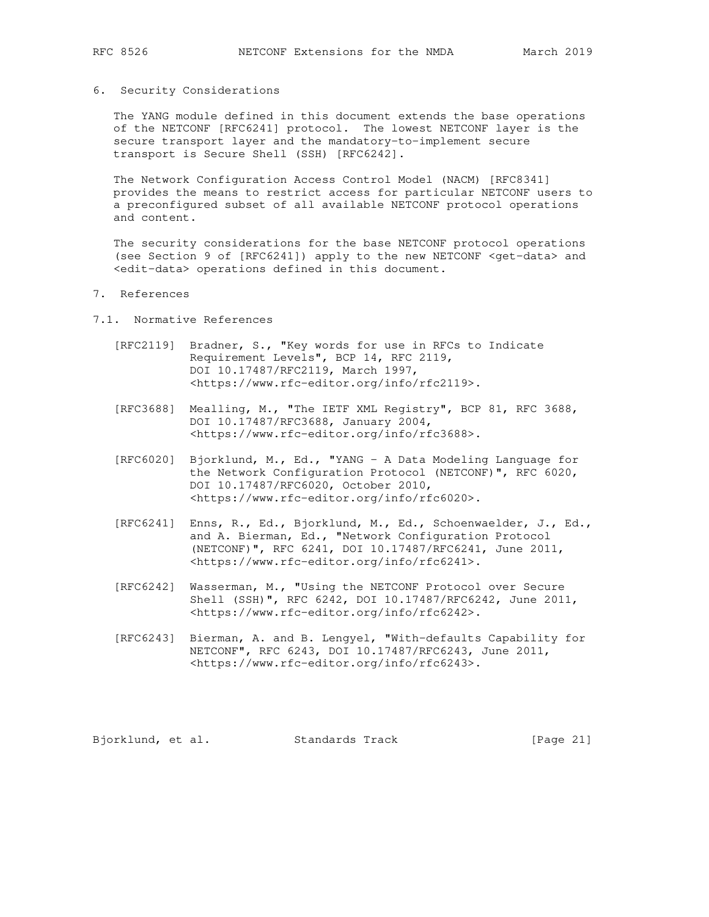#### 6. Security Considerations

 The YANG module defined in this document extends the base operations of the NETCONF [RFC6241] protocol. The lowest NETCONF layer is the secure transport layer and the mandatory-to-implement secure transport is Secure Shell (SSH) [RFC6242].

 The Network Configuration Access Control Model (NACM) [RFC8341] provides the means to restrict access for particular NETCONF users to a preconfigured subset of all available NETCONF protocol operations and content.

 The security considerations for the base NETCONF protocol operations (see Section 9 of [RFC6241]) apply to the new NETCONF <get-data> and <edit-data> operations defined in this document.

#### 7. References

7.1. Normative References

- [RFC2119] Bradner, S., "Key words for use in RFCs to Indicate Requirement Levels", BCP 14, RFC 2119, DOI 10.17487/RFC2119, March 1997, <https://www.rfc-editor.org/info/rfc2119>.
- [RFC3688] Mealling, M., "The IETF XML Registry", BCP 81, RFC 3688, DOI 10.17487/RFC3688, January 2004, <https://www.rfc-editor.org/info/rfc3688>.
- [RFC6020] Bjorklund, M., Ed., "YANG A Data Modeling Language for the Network Configuration Protocol (NETCONF)", RFC 6020, DOI 10.17487/RFC6020, October 2010, <https://www.rfc-editor.org/info/rfc6020>.
- [RFC6241] Enns, R., Ed., Bjorklund, M., Ed., Schoenwaelder, J., Ed., and A. Bierman, Ed., "Network Configuration Protocol (NETCONF)", RFC 6241, DOI 10.17487/RFC6241, June 2011, <https://www.rfc-editor.org/info/rfc6241>.
- [RFC6242] Wasserman, M., "Using the NETCONF Protocol over Secure Shell (SSH)", RFC 6242, DOI 10.17487/RFC6242, June 2011, <https://www.rfc-editor.org/info/rfc6242>.
- [RFC6243] Bierman, A. and B. Lengyel, "With-defaults Capability for NETCONF", RFC 6243, DOI 10.17487/RFC6243, June 2011, <https://www.rfc-editor.org/info/rfc6243>.

Bjorklund, et al. Standards Track [Page 21]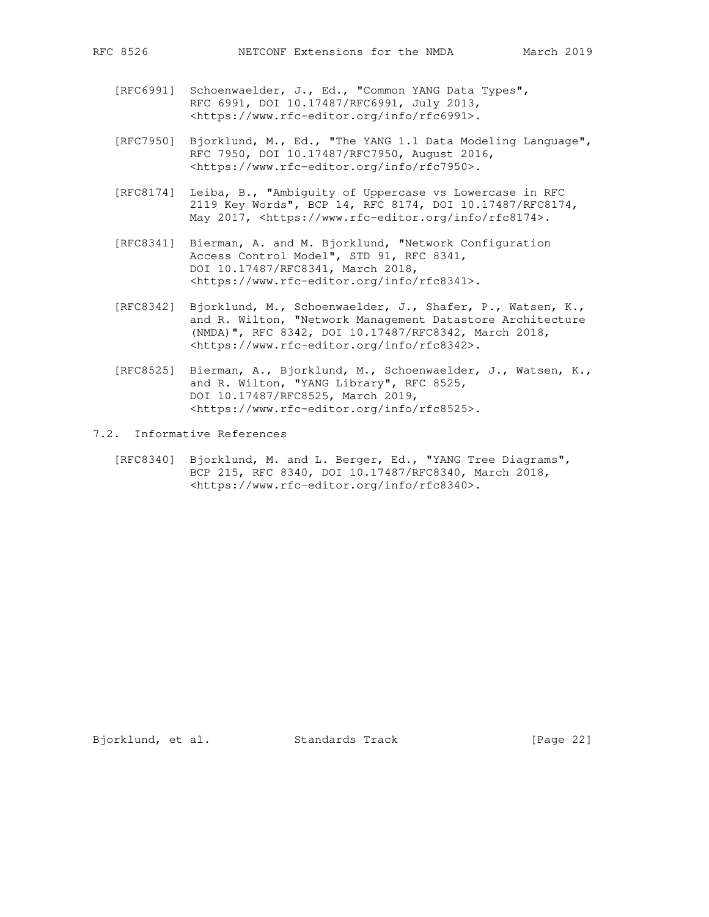- [RFC6991] Schoenwaelder, J., Ed., "Common YANG Data Types", RFC 6991, DOI 10.17487/RFC6991, July 2013, <https://www.rfc-editor.org/info/rfc6991>.
- [RFC7950] Bjorklund, M., Ed., "The YANG 1.1 Data Modeling Language", RFC 7950, DOI 10.17487/RFC7950, August 2016, <https://www.rfc-editor.org/info/rfc7950>.
- [RFC8174] Leiba, B., "Ambiguity of Uppercase vs Lowercase in RFC 2119 Key Words", BCP 14, RFC 8174, DOI 10.17487/RFC8174, May 2017, <https://www.rfc-editor.org/info/rfc8174>.
- [RFC8341] Bierman, A. and M. Bjorklund, "Network Configuration Access Control Model", STD 91, RFC 8341, DOI 10.17487/RFC8341, March 2018, <https://www.rfc-editor.org/info/rfc8341>.
	- [RFC8342] Bjorklund, M., Schoenwaelder, J., Shafer, P., Watsen, K., and R. Wilton, "Network Management Datastore Architecture (NMDA)", RFC 8342, DOI 10.17487/RFC8342, March 2018, <https://www.rfc-editor.org/info/rfc8342>.
	- [RFC8525] Bierman, A., Bjorklund, M., Schoenwaelder, J., Watsen, K., and R. Wilton, "YANG Library", RFC 8525, DOI 10.17487/RFC8525, March 2019, <https://www.rfc-editor.org/info/rfc8525>.
- 7.2. Informative References
	- [RFC8340] Bjorklund, M. and L. Berger, Ed., "YANG Tree Diagrams", BCP 215, RFC 8340, DOI 10.17487/RFC8340, March 2018, <https://www.rfc-editor.org/info/rfc8340>.